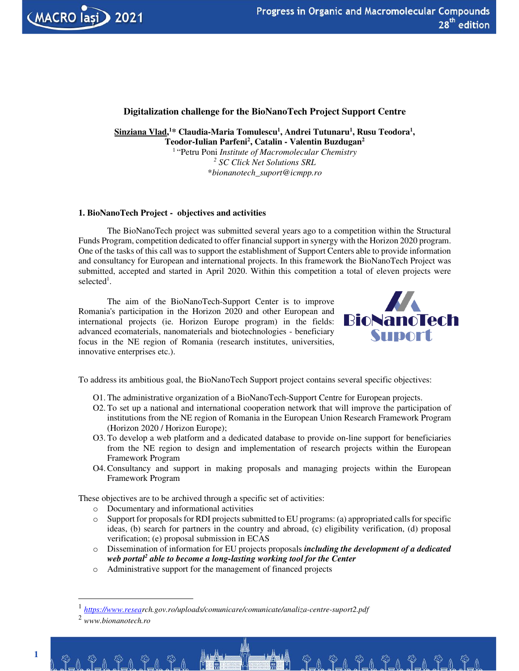

# **Digitalization challenge for the BioNanoTech Project Support Centre**

**Sinziana Vlad,<sup>1</sup>\* Claudia-Maria Tomulescu<sup>1</sup> , Andrei Tutunaru<sup>1</sup> , Rusu Teodora<sup>1</sup> , Teodor-Iulian Parfeni<sup>2</sup> , Catalin - Valentin Buzdugan<sup>2</sup>**

<sup>1</sup>"Petru Poni *Institute of Macromolecular Chemistry 2 SC Click Net Solutions SRL* \**bionanotech\_suport@icmpp.ro*

## **1. BioNanoTech Project - objectives and activities**

The BioNanoTech project was submitted several years ago to a competition within the Structural Funds Program, competition dedicated to offer financial support in synergy with the Horizon 2020 program. One of the tasks of this call was to support the establishment of Support Centers able to provide information and consultancy for European and international projects. In this framework the BioNanoTech Project was submitted, accepted and started in April 2020. Within this competition a total of eleven projects were selected<sup>1</sup>.

The aim of the BioNanoTech-Support Center is to improve Romania's participation in the Horizon 2020 and other European and international projects (ie. Horizon Europe program) in the fields: advanced ecomaterials, nanomaterials and biotechnologies - beneficiary focus in the NE region of Romania (research institutes, universities, innovative enterprises etc.).



<u> Pa Pa Pa Pa Pa Pa Pa</u>

To address its ambitious goal, the BioNanoTech Support project contains several specific objectives:

- O1. The administrative organization of a BioNanoTech-Support Centre for European projects.
- O2. To set up a national and international cooperation network that will improve the participation of institutions from the NE region of Romania in the European Union Research Framework Program (Horizon 2020 / Horizon Europe);
- O3. To develop a web platform and a dedicated database to provide on-line support for beneficiaries from the NE region to design and implementation of research projects within the European Framework Program
- O4. Consultancy and support in making proposals and managing projects within the European Framework Program

These objectives are to be archived through a specific set of activities:

- o Documentary and informational activities
- o Support for proposals for RDI projects submitted to EU programs: (a) appropriated calls for specific ideas, (b) search for partners in the country and abroad, (c) eligibility verification, (d) proposal verification; (e) proposal submission in ECAS
- o Dissemination of information for EU projects proposals *including the development of a dedicated web portal<sup>2</sup> able to become a long-lasting working tool for the Center*
- o Administrative support for the management of financed projects

20. Pol Pol P

<sup>1</sup> *https://www.research.gov.ro/uploads/comunicare/comunicate/analiza-centre-suport2.pdf*

<sup>2</sup> *www.bionanotech.ro*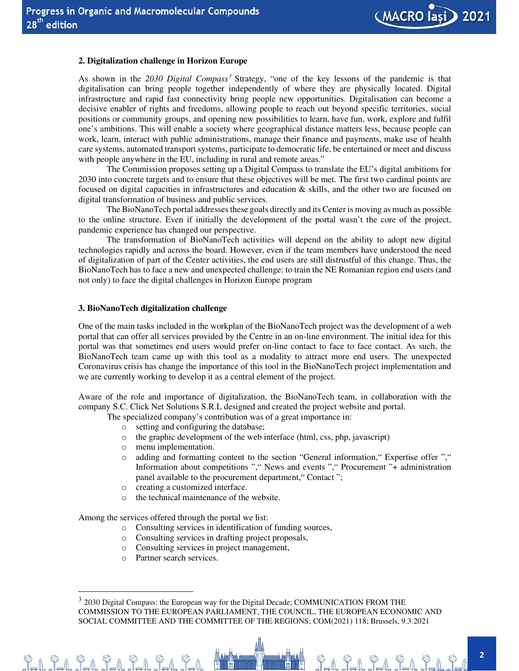

## **2. Digitalization challenge in Horizon Europe**

As shown in the 2030 Digital Compass<sup>3</sup> Strategy, "one of the key lessons of the pandemic is that digitalisation can bring people together independently of where they are physically located. Digital infrastructure and rapid fast connectivity bring people new opportunities. Digitalisation can become a decisive enabler of rights and freedoms, allowing people to reach out beyond specific territories, social positions or community groups, and opening new possibilities to learn, have fun, work, explore and fulfil one's ambitions. This will enable a society where geographical distance matters less, because people can work, learn, interact with public administrations, manage their finance and payments, make use of health care systems, automated transport systems, participate to democratic life, be entertained or meet and discuss with people anywhere in the EU, including in rural and remote areas."

The Commission proposes setting up a Digital Compass to translate the EU's digital ambitions for 2030 into concrete targets and to ensure that these objectives will be met. The first two cardinal points are focused on digital capacities in infrastructures and education & skills, and the other two are focused on digital transformation of business and public services.

The BioNanoTech portal addresses these goals directly and its Center is moving as much as possible to the online structure. Even if initially the development of the portal wasn't the core of the project, pandemic experience has changed our perspective.

The transformation of BioNanoTech activities will depend on the ability to adopt new digital technologies rapidly and across the board. However, even if the team members have understood the need of digitalization of part of the Center activities, the end users are still distrustful of this change. Thus, the BioNanoTech has to face a new and unexpected challenge: to train the NE Romanian region end users (and not only) to face the digital challenges in Horizon Europe program

#### **3. BioNanoTech digitalization challenge**

One of the main tasks included in the workplan of the BioNanoTech project was the development of a web portal that can offer all services provided by the Centre in an on-line environment. The initial idea for this portal was that sometimes end users would prefer on-line contact to face to face contact. As such, the BioNanoTech team came up with this tool as a modality to attract more end users. The unexpected Coronavirus crisis has change the importance of this tool in the BioNanoTech project implementation and we are currently working to develop it as a central element of the project.

Aware of the role and importance of digitalization, the BioNanoTech team, in collaboration with the company S.C. Click Net Solutions S.R.L designed and created the project website and portal.

The specialized company's contribution was of a great importance in:

- o setting and configuring the database;
- o the graphic development of the web interface (html, css, php, javascript)
- o menu implementation.
- o adding and formatting content to the section "General information," Expertise offer "," Information about competitions "," News and events "," Procurement "+ administration panel available to the procurement department," Contact ";
- o creating a customized interface.
- o the technical maintenance of the website.

Among the services offered through the portal we list:

- o Consulting services in identification of funding sources,
- o Consulting services in drafting project proposals,
- o Consulting services in project management,
- o Partner search services.

<u>21 21 21 21 21 21 21</u>

<u>71919191919</u>

 $3$  2030 Digital Compass: the European way for the Digital Decade; COMMUNICATION FROM THE COMMISSION TO THE EUROPEAN PARLIAMENT, THE COUNCIL, THE EUROPEAN ECONOMIC AND SOCIAL COMMITTEE AND THE COMMITTEE OF THE REGIONS; COM(2021) 118; Brussels, 9.3.2021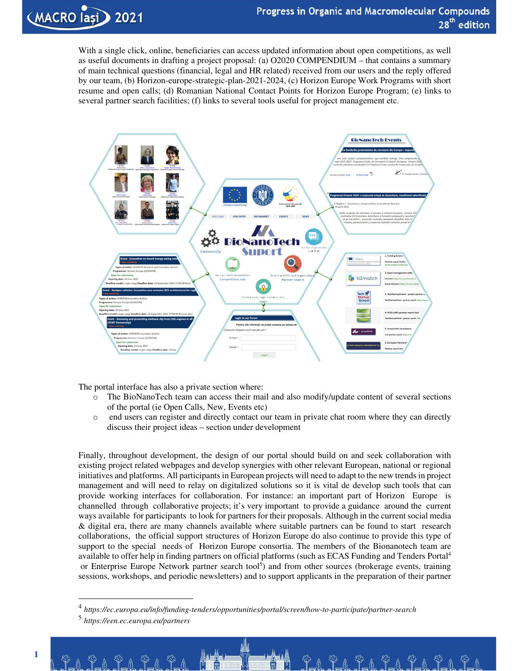<u>Pa Pa Pa Pa Pa Pa Pa</u>

With a single click, online, beneficiaries can access updated information about open competitions, as well as useful documents in drafting a project proposal: (a) O2020 COMPENDIUM – that contains a summary of main technical questions (financial, legal and HR related) received from our users and the reply offered by our team, (b) Horizon-europe-strategic-plan-2021-2024, (c) Horizon Europe Work Programs with short resume and open calls; (d) Romanian National Contact Points for Horizon Europe Program; (e) links to several partner search facilities; (f) links to several tools useful for project management etc.



The portal interface has also a private section where:

- o The BioNanoTech team can access their mail and also modify/update content of several sections of the portal (ie Open Calls, New, Events etc)
- o end users can register and directly contact our team in private chat room where they can directly discuss their project ideas – section under development

Finally, throughout development, the design of our portal should build on and seek collaboration with existing project related webpages and develop synergies with other relevant European, national or regional initiatives and platforms. All participants in European projects will need to adapt to the new trends in project management and will need to relay on digitalized solutions so it is vital de develop such tools that can provide working interfaces for collaboration. For instance: an important part of Horizon Europe is channelled through collaborative projects; it's very important to provide a guidance around the current ways available for participants to look for partners for their proposals. Although in the current social media & digital era, there are many channels available where suitable partners can be found to start research collaborations, the official support structures of Horizon Europe do also continue to provide this type of support to the special needs of Horizon Europe consortia. The members of the Bionanotech team are available to offer help in finding partners on official platforms (such as ECAS Funding and Tenders Portal<sup>4</sup> or Enterprise Europe Network partner search tool<sup>5</sup>) and from other sources (brokerage events, training sessions, workshops, and periodic newsletters) and to support applicants in the preparation of their partner

.Y\_0. T\_0.

<sup>4</sup> *https://ec.europa.eu/info/funding-tenders/opportunities/portal/screen/how-to-participate/partner-search*

<sup>5</sup> *https://een.ec.europa.eu/partners*